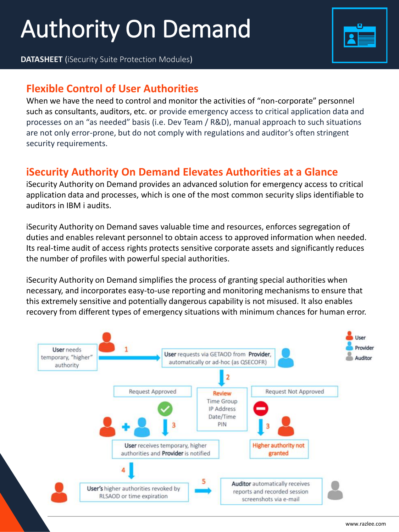# Authority On Demand

**DATASHEET** (iSecurity Suite Protection Modules)

## **Flexible Control of User Authorities**

When we have the need to control and monitor the activities of "non-corporate" personnel such as consultants, auditors, etc. or provide emergency access to critical application data and processes on an "as needed" basis (i.e. Dev Team / R&D), manual approach to such situations are not only error-prone, but do not comply with regulations and auditor's often stringent security requirements.

## **iSecurity Authority On Demand Elevates Authorities at a Glance**

iSecurity Authority on Demand provides an advanced solution for emergency access to critical application data and processes, which is one of the most common security slips identifiable to auditors in IBM i audits.

iSecurity Authority on Demand saves valuable time and resources, enforces segregation of duties and enables relevant personnel to obtain access to approved information when needed. Its real-time audit of access rights protects sensitive corporate assets and significantly reduces the number of profiles with powerful special authorities.

iSecurity Authority on Demand simplifies the process of granting special authorities when necessary, and incorporates easy-to-use reporting and monitoring mechanisms to ensure that this extremely sensitive and potentially dangerous capability is not misused. It also enables recovery from different types of emergency situations with minimum chances for human error.